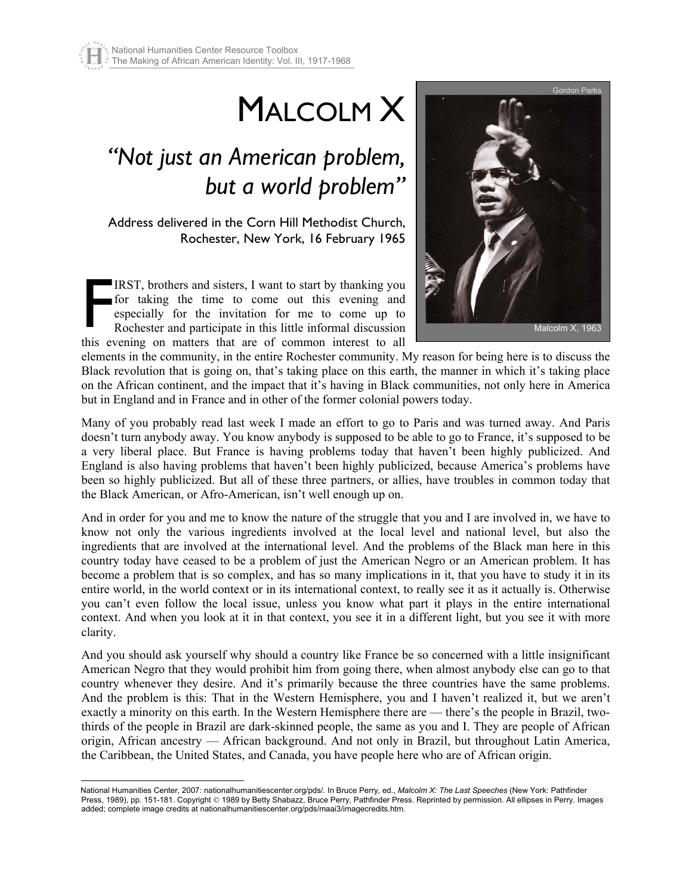## MALCOLM X

## *"Not just an American problem, but a world problem"*

Address delivered in the Corn Hill Methodist Church, [Rochester, New York, 16 February 1965](#page-0-0) 

IRST, brothers and sisters, I want to start by thanking you for taking the time to come out this evening and especially for the invitation for me to come up to Rochester and participate in this little informal discussion this evening on matters that are of common interest to all IRST, brothers and sisters, I want to start by thanking you<br>for taking the time to come out this evening and<br>especially for the invitation for me to come up to<br>Rochester and participate in this little informal discussion<br>t



elements in the community, in the entire Rochester community. My reason for being here is to discuss the Black revolution that is going on, that's taking place on this earth, the manner in which it's taking place on the African continent, and the impact that it's having in Black communities, not only here in America but in England and in France and in other of the former colonial powers today.

Many of you probably read last week I made an effort to go to Paris and was turned away. And Paris doesn't turn anybody away. You know anybody is supposed to be able to go to France, it's supposed to be a very liberal place. But France is having problems today that haven't been highly publicized. And England is also having problems that haven't been highly publicized, because America's problems have been so highly publicized. But all of these three partners, or allies, have troubles in common today that the Black American, or Afro-American, isn't well enough up on.

And in order for you and me to know the nature of the struggle that you and I are involved in, we have to know not only the various ingredients involved at the local level and national level, but also the ingredients that are involved at the international level. And the problems of the Black man here in this country today have ceased to be a problem of just the American Negro or an American problem. It has become a problem that is so complex, and has so many implications in it, that you have to study it in its entire world, in the world context or in its international context, to really see it as it actually is. Otherwise you can't even follow the local issue, unless you know what part it plays in the entire international context. And when you look at it in that context, you see it in a different light, but you see it with more clarity.

And you should ask yourself why should a country like France be so concerned with a little insignificant American Negro that they would prohibit him from going there, when almost anybody else can go to that country whenever they desire. And it's primarily because the three countries have the same problems. And the problem is this: That in the Western Hemisphere, you and I haven't realized it, but we aren't exactly a minority on this earth. In the Western Hemisphere there are — there's the people in Brazil, twothirds of the people in Brazil are dark-skinned people, the same as you and I. They are people of African origin, African ancestry — African background. And not only in Brazil, but throughout Latin America, the Caribbean, the United States, and Canada, you have people here who are of African origin.

<span id="page-0-0"></span> $\overline{a}$ National Humanities Center, 2007: nationalhumanitiescenter.org/pds/. In Bruce Perry, ed., Malcolm X: The Last Speeches (New York: Pathfinder Press, 1989), pp. 151-181. Copyright © 1989 by Betty Shabazz, Bruce Perry, Pathfinder Press. Reprinted by permission. All ellipses in Perry. Images added; complete image credits at nationalhumanitiescenter.org/pds/maai3/imagecredits.htm.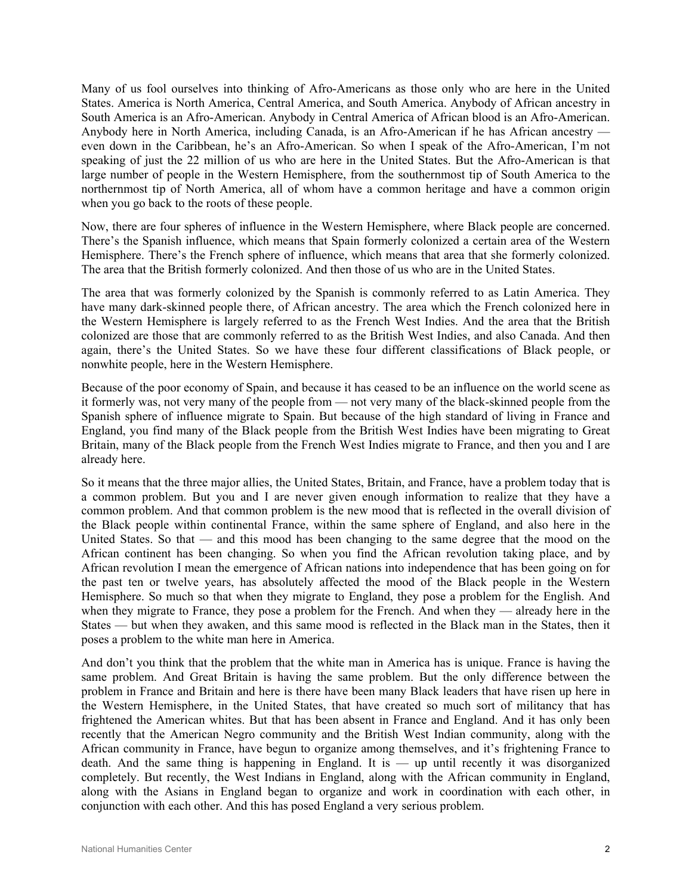Many of us fool ourselves into thinking of Afro-Americans as those only who are here in the United States. America is North America, Central America, and South America. Anybody of African ancestry in South America is an Afro-American. Anybody in Central America of African blood is an Afro-American. Anybody here in North America, including Canada, is an Afro-American if he has African ancestry even down in the Caribbean, he's an Afro-American. So when I speak of the Afro-American, I'm not speaking of just the 22 million of us who are here in the United States. But the Afro-American is that large number of people in the Western Hemisphere, from the southernmost tip of South America to the northernmost tip of North America, all of whom have a common heritage and have a common origin when you go back to the roots of these people.

Now, there are four spheres of influence in the Western Hemisphere, where Black people are concerned. There's the Spanish influence, which means that Spain formerly colonized a certain area of the Western Hemisphere. There's the French sphere of influence, which means that area that she formerly colonized. The area that the British formerly colonized. And then those of us who are in the United States.

The area that was formerly colonized by the Spanish is commonly referred to as Latin America. They have many dark-skinned people there, of African ancestry. The area which the French colonized here in the Western Hemisphere is largely referred to as the French West Indies. And the area that the British colonized are those that are commonly referred to as the British West Indies, and also Canada. And then again, there's the United States. So we have these four different classifications of Black people, or nonwhite people, here in the Western Hemisphere.

Because of the poor economy of Spain, and because it has ceased to be an influence on the world scene as it formerly was, not very many of the people from — not very many of the black-skinned people from the Spanish sphere of influence migrate to Spain. But because of the high standard of living in France and England, you find many of the Black people from the British West Indies have been migrating to Great Britain, many of the Black people from the French West Indies migrate to France, and then you and I are already here.

So it means that the three major allies, the United States, Britain, and France, have a problem today that is a common problem. But you and I are never given enough information to realize that they have a common problem. And that common problem is the new mood that is reflected in the overall division of the Black people within continental France, within the same sphere of England, and also here in the United States. So that — and this mood has been changing to the same degree that the mood on the African continent has been changing. So when you find the African revolution taking place, and by African revolution I mean the emergence of African nations into independence that has been going on for the past ten or twelve years, has absolutely affected the mood of the Black people in the Western Hemisphere. So much so that when they migrate to England, they pose a problem for the English. And when they migrate to France, they pose a problem for the French. And when they — already here in the States — but when they awaken, and this same mood is reflected in the Black man in the States, then it poses a problem to the white man here in America.

And don't you think that the problem that the white man in America has is unique. France is having the same problem. And Great Britain is having the same problem. But the only difference between the problem in France and Britain and here is there have been many Black leaders that have risen up here in the Western Hemisphere, in the United States, that have created so much sort of militancy that has frightened the American whites. But that has been absent in France and England. And it has only been recently that the American Negro community and the British West Indian community, along with the African community in France, have begun to organize among themselves, and it's frightening France to death. And the same thing is happening in England. It is — up until recently it was disorganized completely. But recently, the West Indians in England, along with the African community in England, along with the Asians in England began to organize and work in coordination with each other, in conjunction with each other. And this has posed England a very serious problem.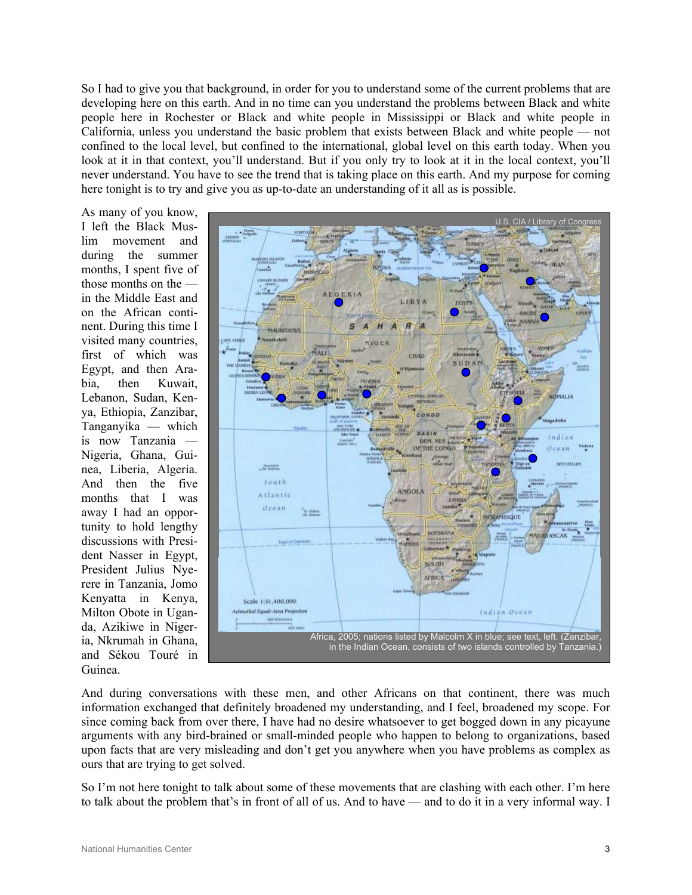So I had to give you that background, in order for you to understand some of the current problems that are developing here on this earth. And in no time can you understand the problems between Black and white people here in Rochester or Black and white people in Mississippi or Black and white people in California, unless you understand the basic problem that exists between Black and white people — not confined to the local level, but confined to the international, global level on this earth today. When you look at it in that context, you'll understand. But if you only try to look at it in the local context, you'll never understand. You have to see the trend that is taking place on this earth. And my purpose for coming here tonight is to try and give you as up-to-date an understanding of it all as is possible.

As many of you know, I left the Black Muslim movement and during the summer months, I spent five of those months on the in the Middle East and on the African continent. During this time I visited many countries, first of which was Egypt, and then Ara-<br>bia, then Kuwait. bia, then Kuwait, Lebanon, Sudan, Kenya, Ethiopia, Zanzibar, Tanganyika — which is now Tanzania — Nigeria, Ghana, Guinea, Liberia, Algeria. And then the five months that I was away I had an opportunity to hold lengthy discussions with President Nasser in Egypt, President Julius Nyerere in Tanzania, Jomo Kenyatta in Kenya, Milton Obote in Uganda, Azikiwe in Nigeria, Nkrumah in Ghana, and Sékou Touré in Guinea.



And during conversations with these men, and other Africans on that continent, there was much information exchanged that definitely broadened my understanding, and I feel, broadened my scope. For since coming back from over there, I have had no desire whatsoever to get bogged down in any picayune arguments with any bird-brained or small-minded people who happen to belong to organizations, based upon facts that are very misleading and don't get you anywhere when you have problems as complex as ours that are trying to get solved.

So I'm not here tonight to talk about some of these movements that are clashing with each other. I'm here to talk about the problem that's in front of all of us. And to have — and to do it in a very informal way. I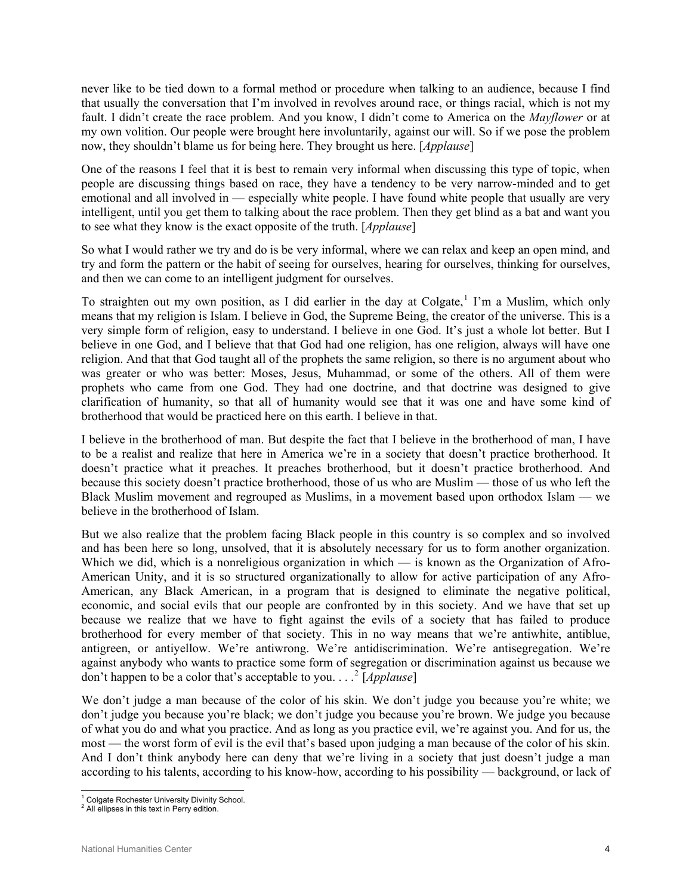never like to be tied down to a formal method or procedure when talking to an audience, because I find that usually the conversation that I'm involved in revolves around race, or things racial, which is not my fault. I didn't create the race problem. And you know, I didn't come to America on the *Mayflower* or at my own volition. Our people were brought here involuntarily, against our will. So if we pose the problem now, they shouldn't blame us for being here. They brought us here. [*Applause*]

One of the reasons I feel that it is best to remain very informal when discussing this type of topic, when people are discussing things based on race, they have a tendency to be very narrow-minded and to get emotional and all involved in — especially white people. I have found white people that usually are very intelligent, until you get them to talking about the race problem. Then they get blind as a bat and want you to see what they know is the exact opposite of the truth. [*Applause*]

So what I would rather we try and do is be very informal, where we can relax and keep an open mind, and try and form the pattern or the habit of seeing for ourselves, hearing for ourselves, thinking for ourselves, and then we can come to an intelligent judgment for ourselves.

To straighten out my own position, as I did earlier in the day at Colgate,<sup>[1](#page-3-0)</sup> I'm a Muslim, which only means that my religion is Islam. I believe in God, the Supreme Being, the creator of the universe. This is a very simple form of religion, easy to understand. I believe in one God. It's just a whole lot better. But I believe in one God, and I believe that that God had one religion, has one religion, always will have one religion. And that that God taught all of the prophets the same religion, so there is no argument about who was greater or who was better: Moses, Jesus, Muhammad, or some of the others. All of them were prophets who came from one God. They had one doctrine, and that doctrine was designed to give clarification of humanity, so that all of humanity would see that it was one and have some kind of brotherhood that would be practiced here on this earth. I believe in that.

I believe in the brotherhood of man. But despite the fact that I believe in the brotherhood of man, I have to be a realist and realize that here in America we're in a society that doesn't practice brotherhood. It doesn't practice what it preaches. It preaches brotherhood, but it doesn't practice brotherhood. And because this society doesn't practice brotherhood, those of us who are Muslim — those of us who left the Black Muslim movement and regrouped as Muslims, in a movement based upon orthodox Islam — we believe in the brotherhood of Islam.

But we also realize that the problem facing Black people in this country is so complex and so involved and has been here so long, unsolved, that it is absolutely necessary for us to form another organization. Which we did, which is a nonreligious organization in which — is known as the Organization of Afro-American Unity, and it is so structured organizationally to allow for active participation of any Afro-American, any Black American, in a program that is designed to eliminate the negative political, economic, and social evils that our people are confronted by in this society. And we have that set up because we realize that we have to fight against the evils of a society that has failed to produce brotherhood for every member of that society. This in no way means that we're antiwhite, antiblue, antigreen, or antiyellow. We're antiwrong. We're antidiscrimination. We're antisegregation. We're against anybody who wants to practice some form of segregation or discrimination against us because we don't happen to be a color that's acceptable to you...<sup>[2](#page-3-1)</sup> [*Applause*]

We don't judge a man because of the color of his skin. We don't judge you because you're white; we don't judge you because you're black; we don't judge you because you're brown. We judge you because of what you do and what you practice. And as long as you practice evil, we're against you. And for us, the most — the worst form of evil is the evil that's based upon judging a man because of the color of his skin. And I don't think anybody here can deny that we're living in a society that just doesn't judge a man according to his talents, according to his know-how, according to his possibility — background, or lack of

 $\overline{a}$ <sup>1</sup> Colgate Rochester University Divinity School.

<span id="page-3-1"></span><span id="page-3-0"></span><sup>&</sup>lt;sup>2</sup> All ellipses in this text in Perry edition.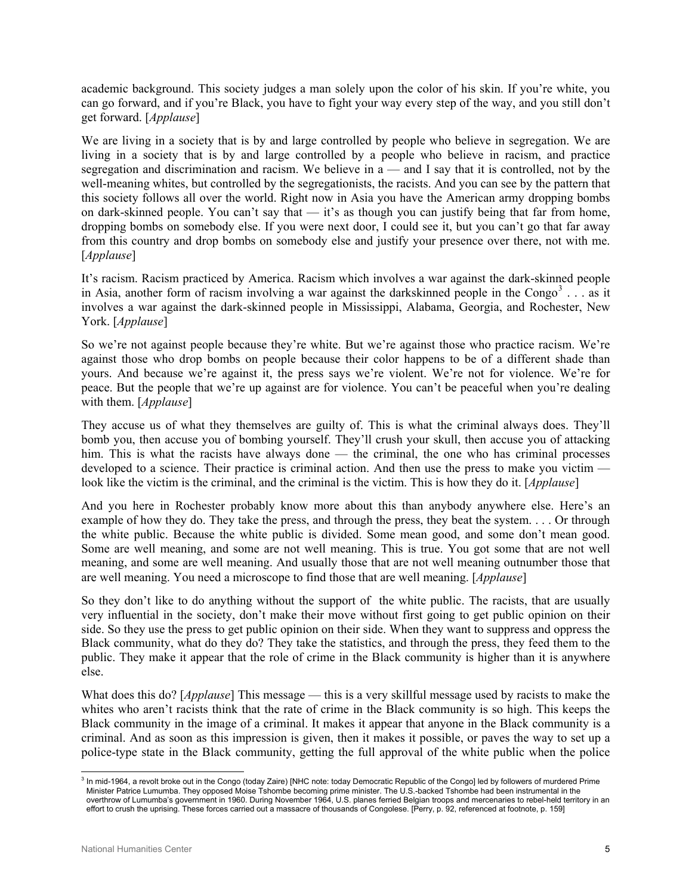academic background. This society judges a man solely upon the color of his skin. If you're white, you can go forward, and if you're Black, you have to fight your way every step of the way, and you still don't get forward. [*Applause*]

We are living in a society that is by and large controlled by people who believe in segregation. We are living in a society that is by and large controlled by a people who believe in racism, and practice segregation and discrimination and racism. We believe in a — and I say that it is controlled, not by the well-meaning whites, but controlled by the segregationists, the racists. And you can see by the pattern that this society follows all over the world. Right now in Asia you have the American army dropping bombs on dark-skinned people. You can't say that — it's as though you can justify being that far from home, dropping bombs on somebody else. If you were next door, I could see it, but you can't go that far away from this country and drop bombs on somebody else and justify your presence over there, not with me. [*Applause*]

It's racism. Racism practiced by America. Racism which involves a war against the dark-skinned people in Asia, another form of racism involving a war against the darkskinned people in the Congo<sup>[3](#page-4-0)</sup>... as it involves a war against the dark-skinned people in Mississippi, Alabama, Georgia, and Rochester, New York. [*Applause*]

So we're not against people because they're white. But we're against those who practice racism. We're against those who drop bombs on people because their color happens to be of a different shade than yours. And because we're against it, the press says we're violent. We're not for violence. We're for peace. But the people that we're up against are for violence. You can't be peaceful when you're dealing with them. [*Applause*]

They accuse us of what they themselves are guilty of. This is what the criminal always does. They'll bomb you, then accuse you of bombing yourself. They'll crush your skull, then accuse you of attacking him. This is what the racists have always done — the criminal, the one who has criminal processes developed to a science. Their practice is criminal action. And then use the press to make you victim look like the victim is the criminal, and the criminal is the victim. This is how they do it. [*Applause*]

And you here in Rochester probably know more about this than anybody anywhere else. Here's an example of how they do. They take the press, and through the press, they beat the system. . . . Or through the white public. Because the white public is divided. Some mean good, and some don't mean good. Some are well meaning, and some are not well meaning. This is true. You got some that are not well meaning, and some are well meaning. And usually those that are not well meaning outnumber those that are well meaning. You need a microscope to find those that are well meaning. [*Applause*]

So they don't like to do anything without the support of the white public. The racists, that are usually very influential in the society, don't make their move without first going to get public opinion on their side. So they use the press to get public opinion on their side. When they want to suppress and oppress the Black community, what do they do? They take the statistics, and through the press, they feed them to the public. They make it appear that the role of crime in the Black community is higher than it is anywhere else.

What does this do? [*Applause*] This message — this is a very skillful message used by racists to make the whites who aren't racists think that the rate of crime in the Black community is so high. This keeps the Black community in the image of a criminal. It makes it appear that anyone in the Black community is a criminal. And as soon as this impression is given, then it makes it possible, or paves the way to set up a police-type state in the Black community, getting the full approval of the white public when the police

<span id="page-4-0"></span> 3 In mid-1964, a revolt broke out in the Congo (today Zaire) [NHC note: today Democratic Republic of the Congo] led by followers of murdered Prime Minister Patrice Lumumba. They opposed Moise Tshombe becoming prime minister. The U.S.-backed Tshombe had been instrumental in the overthrow of Lumumba's government in 1960. During November 1964, U.S. planes ferried Belgian troops and mercenaries to rebel-held territory in an effort to crush the uprising. These forces carried out a massacre of thousands of Congolese. [Perry, p. 92, referenced at footnote, p. 159]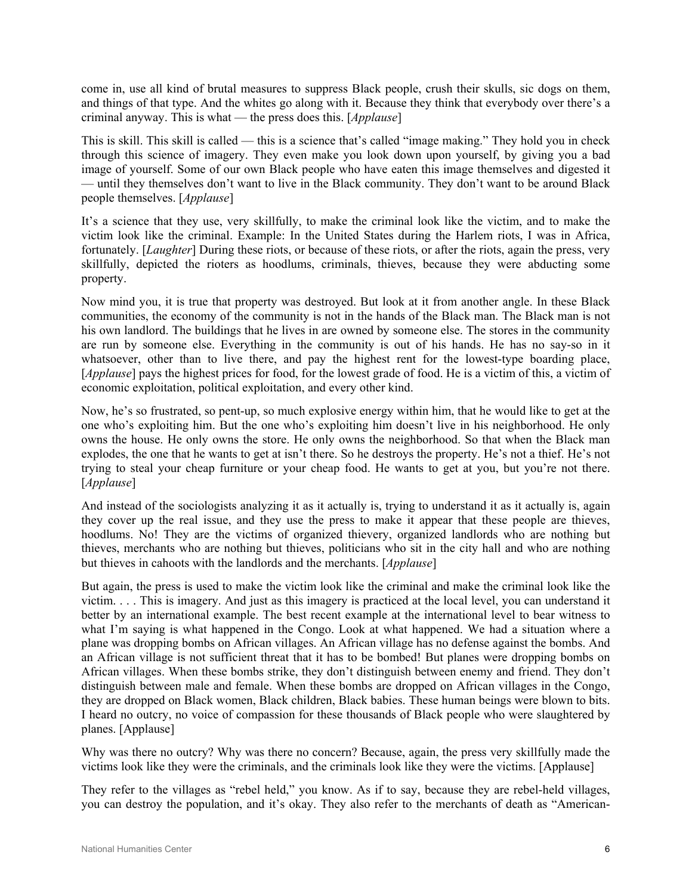come in, use all kind of brutal measures to suppress Black people, crush their skulls, sic dogs on them, and things of that type. And the whites go along with it. Because they think that everybody over there's a criminal anyway. This is what — the press does this. [*Applause*]

This is skill. This skill is called — this is a science that's called "image making." They hold you in check through this science of imagery. They even make you look down upon yourself, by giving you a bad image of yourself. Some of our own Black people who have eaten this image themselves and digested it — until they themselves don't want to live in the Black community. They don't want to be around Black people themselves. [*Applause*]

It's a science that they use, very skillfully, to make the criminal look like the victim, and to make the victim look like the criminal. Example: In the United States during the Harlem riots, I was in Africa, fortunately. [*Laughter*] During these riots, or because of these riots, or after the riots, again the press, very skillfully, depicted the rioters as hoodlums, criminals, thieves, because they were abducting some property.

Now mind you, it is true that property was destroyed. But look at it from another angle. In these Black communities, the economy of the community is not in the hands of the Black man. The Black man is not his own landlord. The buildings that he lives in are owned by someone else. The stores in the community are run by someone else. Everything in the community is out of his hands. He has no say-so in it whatsoever, other than to live there, and pay the highest rent for the lowest-type boarding place, [*Applause*] pays the highest prices for food, for the lowest grade of food. He is a victim of this, a victim of economic exploitation, political exploitation, and every other kind.

Now, he's so frustrated, so pent-up, so much explosive energy within him, that he would like to get at the one who's exploiting him. But the one who's exploiting him doesn't live in his neighborhood. He only owns the house. He only owns the store. He only owns the neighborhood. So that when the Black man explodes, the one that he wants to get at isn't there. So he destroys the property. He's not a thief. He's not trying to steal your cheap furniture or your cheap food. He wants to get at you, but you're not there. [*Applause*]

And instead of the sociologists analyzing it as it actually is, trying to understand it as it actually is, again they cover up the real issue, and they use the press to make it appear that these people are thieves, hoodlums. No! They are the victims of organized thievery, organized landlords who are nothing but thieves, merchants who are nothing but thieves, politicians who sit in the city hall and who are nothing but thieves in cahoots with the landlords and the merchants. [*Applause*]

But again, the press is used to make the victim look like the criminal and make the criminal look like the victim. . . . This is imagery. And just as this imagery is practiced at the local level, you can understand it better by an international example. The best recent example at the international level to bear witness to what I'm saying is what happened in the Congo. Look at what happened. We had a situation where a plane was dropping bombs on African villages. An African village has no defense against the bombs. And an African village is not sufficient threat that it has to be bombed! But planes were dropping bombs on African villages. When these bombs strike, they don't distinguish between enemy and friend. They don't distinguish between male and female. When these bombs are dropped on African villages in the Congo, they are dropped on Black women, Black children, Black babies. These human beings were blown to bits. I heard no outcry, no voice of compassion for these thousands of Black people who were slaughtered by planes. [Applause]

Why was there no outcry? Why was there no concern? Because, again, the press very skillfully made the victims look like they were the criminals, and the criminals look like they were the victims. [Applause]

They refer to the villages as "rebel held," you know. As if to say, because they are rebel-held villages, you can destroy the population, and it's okay. They also refer to the merchants of death as "American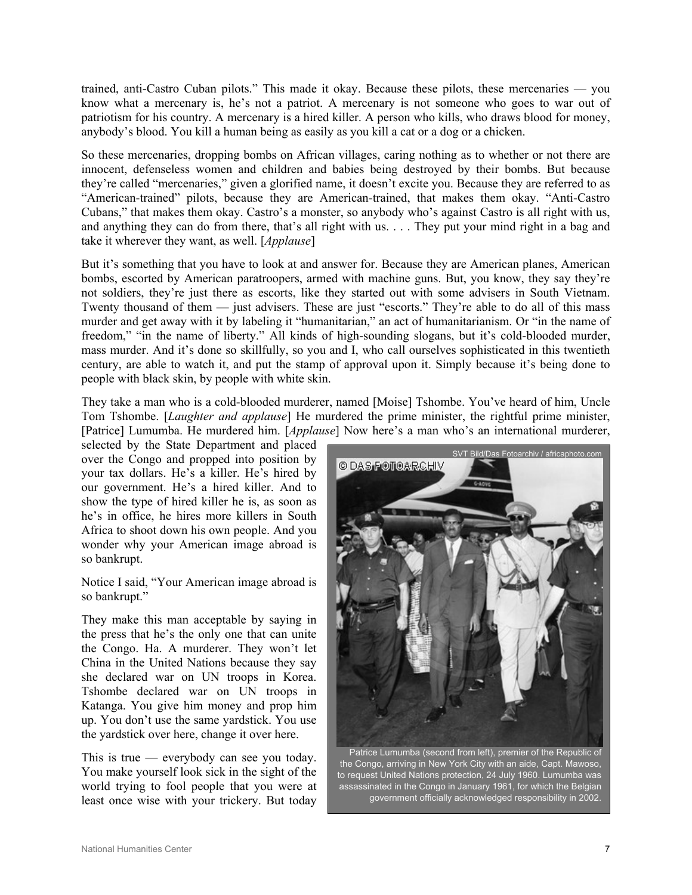trained, anti-Castro Cuban pilots." This made it okay. Because these pilots, these mercenaries — you know what a mercenary is, he's not a patriot. A mercenary is not someone who goes to war out of patriotism for his country. A mercenary is a hired killer. A person who kills, who draws blood for money, anybody's blood. You kill a human being as easily as you kill a cat or a dog or a chicken.

So these mercenaries, dropping bombs on African villages, caring nothing as to whether or not there are innocent, defenseless women and children and babies being destroyed by their bombs. But because they're called "mercenaries," given a glorified name, it doesn't excite you. Because they are referred to as "American-trained" pilots, because they are American-trained, that makes them okay. "Anti-Castro Cubans," that makes them okay. Castro's a monster, so anybody who's against Castro is all right with us, and anything they can do from there, that's all right with us. . . . They put your mind right in a bag and take it wherever they want, as well. [*Applause*]

But it's something that you have to look at and answer for. Because they are American planes, American bombs, escorted by American paratroopers, armed with machine guns. But, you know, they say they're not soldiers, they're just there as escorts, like they started out with some advisers in South Vietnam. Twenty thousand of them — just advisers. These are just "escorts." They're able to do all of this mass murder and get away with it by labeling it "humanitarian," an act of humanitarianism. Or "in the name of freedom," "in the name of liberty." All kinds of high-sounding slogans, but it's cold-blooded murder, mass murder. And it's done so skillfully, so you and I, who call ourselves sophisticated in this twentieth century, are able to watch it, and put the stamp of approval upon it. Simply because it's being done to people with black skin, by people with white skin.

They take a man who is a cold-blooded murderer, named [Moise] Tshombe. You've heard of him, Uncle Tom Tshombe. [*Laughter and applause*] He murdered the prime minister, the rightful prime minister, [Patrice] Lumumba. He murdered him. [*Applause*] Now here's a man who's an international murderer,

selected by the State Department and placed over the Congo and propped into position by your tax dollars. He's a killer. He's hired by our government. He's a hired killer. And to show the type of hired killer he is, as soon as he's in office, he hires more killers in South Africa to shoot down his own people. And you wonder why your American image abroad is so bankrupt.

Notice I said, "Your American image abroad is so bankrupt."

They make this man acceptable by saying in the press that he's the only one that can unite the Congo. Ha. A murderer. They won't let China in the United Nations because they say she declared war on UN troops in Korea. Tshombe declared war on UN troops in Katanga. You give him money and prop him up. You don't use the same yardstick. You use the yardstick over here, change it over here.

This is true — everybody can see you today. You make yourself look sick in the sight of the world trying to fool people that you were at least once wise with your trickery. But today



Patrice Lumumba (second from left), premier of the Republic of the Congo, arriving in New York City with an aide, Capt. Mawoso, to request United Nations protection, 24 July 1960. Lumumba was assassinated in the Congo in January 1961, for which the Belgian government officially acknowledged responsibility in 2002.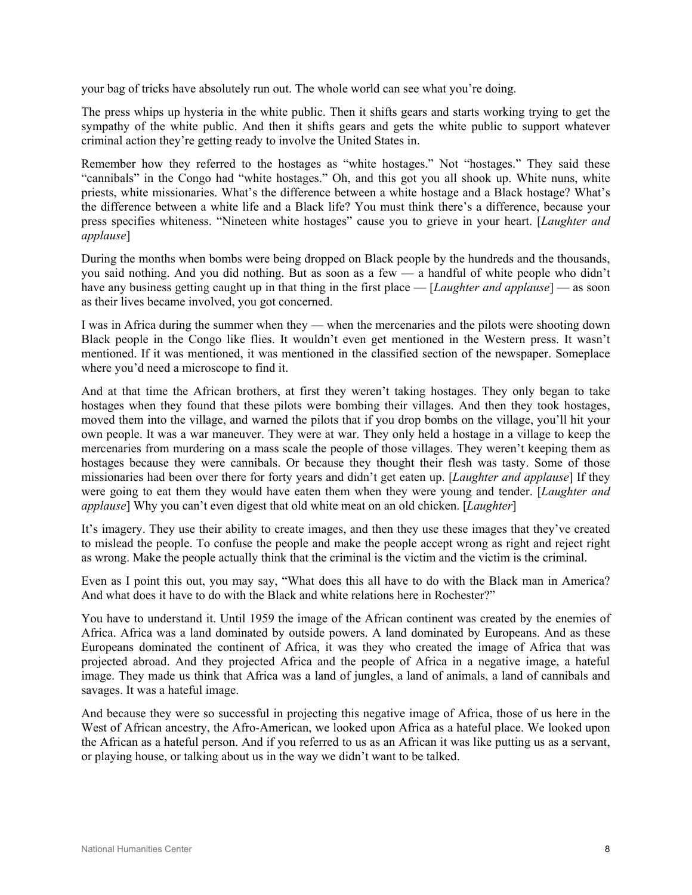your bag of tricks have absolutely run out. The whole world can see what you're doing.

The press whips up hysteria in the white public. Then it shifts gears and starts working trying to get the sympathy of the white public. And then it shifts gears and gets the white public to support whatever criminal action they're getting ready to involve the United States in.

Remember how they referred to the hostages as "white hostages." Not "hostages." They said these "cannibals" in the Congo had "white hostages." Oh, and this got you all shook up. White nuns, white priests, white missionaries. What's the difference between a white hostage and a Black hostage? What's the difference between a white life and a Black life? You must think there's a difference, because your press specifies whiteness. "Nineteen white hostages" cause you to grieve in your heart. [*Laughter and applause*]

During the months when bombs were being dropped on Black people by the hundreds and the thousands, you said nothing. And you did nothing. But as soon as a few — a handful of white people who didn't have any business getting caught up in that thing in the first place — [*Laughter and applause*] — as soon as their lives became involved, you got concerned.

I was in Africa during the summer when they — when the mercenaries and the pilots were shooting down Black people in the Congo like flies. It wouldn't even get mentioned in the Western press. It wasn't mentioned. If it was mentioned, it was mentioned in the classified section of the newspaper. Someplace where you'd need a microscope to find it.

And at that time the African brothers, at first they weren't taking hostages. They only began to take hostages when they found that these pilots were bombing their villages. And then they took hostages, moved them into the village, and warned the pilots that if you drop bombs on the village, you'll hit your own people. It was a war maneuver. They were at war. They only held a hostage in a village to keep the mercenaries from murdering on a mass scale the people of those villages. They weren't keeping them as hostages because they were cannibals. Or because they thought their flesh was tasty. Some of those missionaries had been over there for forty years and didn't get eaten up. [*Laughter and applause*] If they were going to eat them they would have eaten them when they were young and tender. [*Laughter and applause*] Why you can't even digest that old white meat on an old chicken. [*Laughter*]

It's imagery. They use their ability to create images, and then they use these images that they've created to mislead the people. To confuse the people and make the people accept wrong as right and reject right as wrong. Make the people actually think that the criminal is the victim and the victim is the criminal.

Even as I point this out, you may say, "What does this all have to do with the Black man in America? And what does it have to do with the Black and white relations here in Rochester?"

You have to understand it. Until 1959 the image of the African continent was created by the enemies of Africa. Africa was a land dominated by outside powers. A land dominated by Europeans. And as these Europeans dominated the continent of Africa, it was they who created the image of Africa that was projected abroad. And they projected Africa and the people of Africa in a negative image, a hateful image. They made us think that Africa was a land of jungles, a land of animals, a land of cannibals and savages. It was a hateful image.

And because they were so successful in projecting this negative image of Africa, those of us here in the West of African ancestry, the Afro-American, we looked upon Africa as a hateful place. We looked upon the African as a hateful person. And if you referred to us as an African it was like putting us as a servant, or playing house, or talking about us in the way we didn't want to be talked.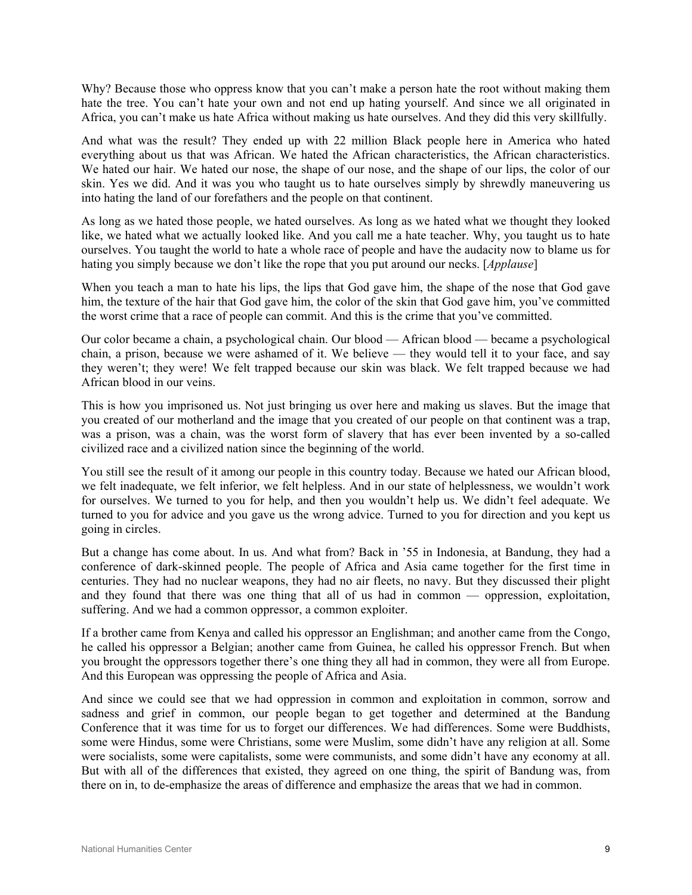Why? Because those who oppress know that you can't make a person hate the root without making them hate the tree. You can't hate your own and not end up hating yourself. And since we all originated in Africa, you can't make us hate Africa without making us hate ourselves. And they did this very skillfully.

And what was the result? They ended up with 22 million Black people here in America who hated everything about us that was African. We hated the African characteristics, the African characteristics. We hated our hair. We hated our nose, the shape of our nose, and the shape of our lips, the color of our skin. Yes we did. And it was you who taught us to hate ourselves simply by shrewdly maneuvering us into hating the land of our forefathers and the people on that continent.

As long as we hated those people, we hated ourselves. As long as we hated what we thought they looked like, we hated what we actually looked like. And you call me a hate teacher. Why, you taught us to hate ourselves. You taught the world to hate a whole race of people and have the audacity now to blame us for hating you simply because we don't like the rope that you put around our necks. [*Applause*]

When you teach a man to hate his lips, the lips that God gave him, the shape of the nose that God gave him, the texture of the hair that God gave him, the color of the skin that God gave him, you've committed the worst crime that a race of people can commit. And this is the crime that you've committed.

Our color became a chain, a psychological chain. Our blood — African blood — became a psychological chain, a prison, because we were ashamed of it. We believe — they would tell it to your face, and say they weren't; they were! We felt trapped because our skin was black. We felt trapped because we had African blood in our veins.

This is how you imprisoned us. Not just bringing us over here and making us slaves. But the image that you created of our motherland and the image that you created of our people on that continent was a trap, was a prison, was a chain, was the worst form of slavery that has ever been invented by a so-called civilized race and a civilized nation since the beginning of the world.

You still see the result of it among our people in this country today. Because we hated our African blood, we felt inadequate, we felt inferior, we felt helpless. And in our state of helplessness, we wouldn't work for ourselves. We turned to you for help, and then you wouldn't help us. We didn't feel adequate. We turned to you for advice and you gave us the wrong advice. Turned to you for direction and you kept us going in circles.

But a change has come about. In us. And what from? Back in '55 in Indonesia, at Bandung, they had a conference of dark-skinned people. The people of Africa and Asia came together for the first time in centuries. They had no nuclear weapons, they had no air fleets, no navy. But they discussed their plight and they found that there was one thing that all of us had in common — oppression, exploitation, suffering. And we had a common oppressor, a common exploiter.

If a brother came from Kenya and called his oppressor an Englishman; and another came from the Congo, he called his oppressor a Belgian; another came from Guinea, he called his oppressor French. But when you brought the oppressors together there's one thing they all had in common, they were all from Europe. And this European was oppressing the people of Africa and Asia.

And since we could see that we had oppression in common and exploitation in common, sorrow and sadness and grief in common, our people began to get together and determined at the Bandung Conference that it was time for us to forget our differences. We had differences. Some were Buddhists, some were Hindus, some were Christians, some were Muslim, some didn't have any religion at all. Some were socialists, some were capitalists, some were communists, and some didn't have any economy at all. But with all of the differences that existed, they agreed on one thing, the spirit of Bandung was, from there on in, to de-emphasize the areas of difference and emphasize the areas that we had in common.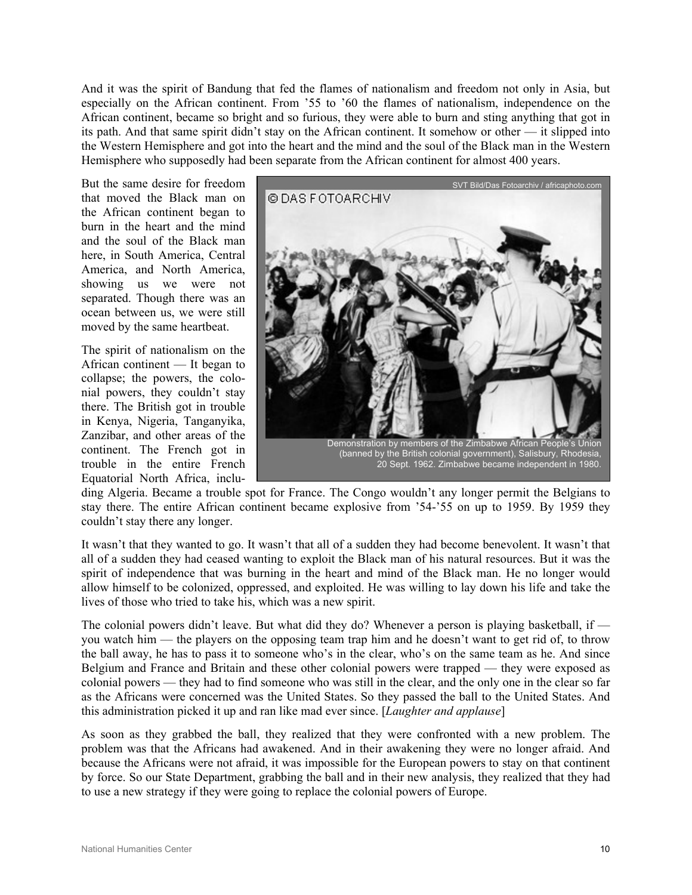And it was the spirit of Bandung that fed the flames of nationalism and freedom not only in Asia, but especially on the African continent. From '55 to '60 the flames of nationalism, independence on the African continent, became so bright and so furious, they were able to burn and sting anything that got in its path. And that same spirit didn't stay on the African continent. It somehow or other — it slipped into the Western Hemisphere and got into the heart and the mind and the soul of the Black man in the Western Hemisphere who supposedly had been separate from the African continent for almost 400 years.

But the same desire for freedom that moved the Black man on the African continent began to burn in the heart and the mind and the soul of the Black man here, in South America, Central America, and North America, showing us we were not separated. Though there was an ocean between us, we were still moved by the same heartbeat.

The spirit of nationalism on the African continent — It began to collapse; the powers, the colonial powers, they couldn't stay there. The British got in trouble in Kenya, Nigeria, Tanganyika, Zanzibar, and other areas of the continent. The French got in trouble in the entire French Equatorial North Africa, inclu-



ding Algeria. Became a trouble spot for France. The Congo wouldn't any longer permit the Belgians to stay there. The entire African continent became explosive from '54-'55 on up to 1959. By 1959 they couldn't stay there any longer.

It wasn't that they wanted to go. It wasn't that all of a sudden they had become benevolent. It wasn't that all of a sudden they had ceased wanting to exploit the Black man of his natural resources. But it was the spirit of independence that was burning in the heart and mind of the Black man. He no longer would allow himself to be colonized, oppressed, and exploited. He was willing to lay down his life and take the lives of those who tried to take his, which was a new spirit.

The colonial powers didn't leave. But what did they do? Whenever a person is playing basketball, if you watch him — the players on the opposing team trap him and he doesn't want to get rid of, to throw the ball away, he has to pass it to someone who's in the clear, who's on the same team as he. And since Belgium and France and Britain and these other colonial powers were trapped — they were exposed as colonial powers — they had to find someone who was still in the clear, and the only one in the clear so far as the Africans were concerned was the United States. So they passed the ball to the United States. And this administration picked it up and ran like mad ever since. [*Laughter and applause*]

As soon as they grabbed the ball, they realized that they were confronted with a new problem. The problem was that the Africans had awakened. And in their awakening they were no longer afraid. And because the Africans were not afraid, it was impossible for the European powers to stay on that continent by force. So our State Department, grabbing the ball and in their new analysis, they realized that they had to use a new strategy if they were going to replace the colonial powers of Europe.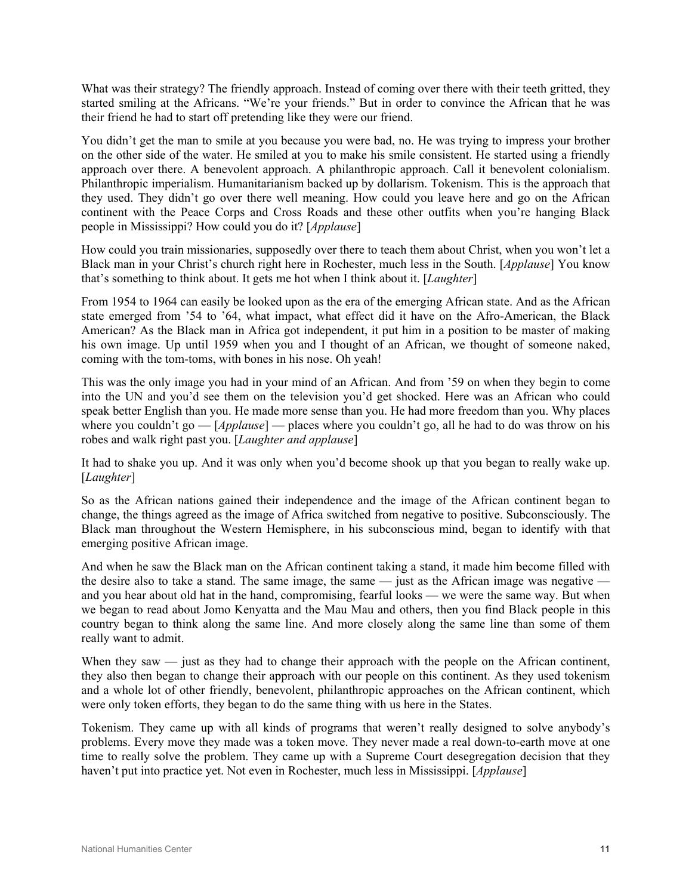What was their strategy? The friendly approach. Instead of coming over there with their teeth gritted, they started smiling at the Africans. "We're your friends." But in order to convince the African that he was their friend he had to start off pretending like they were our friend.

You didn't get the man to smile at you because you were bad, no. He was trying to impress your brother on the other side of the water. He smiled at you to make his smile consistent. He started using a friendly approach over there. A benevolent approach. A philanthropic approach. Call it benevolent colonialism. Philanthropic imperialism. Humanitarianism backed up by dollarism. Tokenism. This is the approach that they used. They didn't go over there well meaning. How could you leave here and go on the African continent with the Peace Corps and Cross Roads and these other outfits when you're hanging Black people in Mississippi? How could you do it? [*Applause*]

How could you train missionaries, supposedly over there to teach them about Christ, when you won't let a Black man in your Christ's church right here in Rochester, much less in the South. [*Applause*] You know that's something to think about. It gets me hot when I think about it. [*Laughter*]

From 1954 to 1964 can easily be looked upon as the era of the emerging African state. And as the African state emerged from '54 to '64, what impact, what effect did it have on the Afro-American, the Black American? As the Black man in Africa got independent, it put him in a position to be master of making his own image. Up until 1959 when you and I thought of an African, we thought of someone naked, coming with the tom-toms, with bones in his nose. Oh yeah!

This was the only image you had in your mind of an African. And from '59 on when they begin to come into the UN and you'd see them on the television you'd get shocked. Here was an African who could speak better English than you. He made more sense than you. He had more freedom than you. Why places where you couldn't go — [*Applause*] — places where you couldn't go, all he had to do was throw on his robes and walk right past you. [*Laughter and applause*]

It had to shake you up. And it was only when you'd become shook up that you began to really wake up. [*Laughter*]

So as the African nations gained their independence and the image of the African continent began to change, the things agreed as the image of Africa switched from negative to positive. Subconsciously. The Black man throughout the Western Hemisphere, in his subconscious mind, began to identify with that emerging positive African image.

And when he saw the Black man on the African continent taking a stand, it made him become filled with the desire also to take a stand. The same image, the same  $-$  just as the African image was negative  $$ and you hear about old hat in the hand, compromising, fearful looks — we were the same way. But when we began to read about Jomo Kenyatta and the Mau Mau and others, then you find Black people in this country began to think along the same line. And more closely along the same line than some of them really want to admit.

When they saw  $-$  just as they had to change their approach with the people on the African continent, they also then began to change their approach with our people on this continent. As they used tokenism and a whole lot of other friendly, benevolent, philanthropic approaches on the African continent, which were only token efforts, they began to do the same thing with us here in the States.

Tokenism. They came up with all kinds of programs that weren't really designed to solve anybody's problems. Every move they made was a token move. They never made a real down-to-earth move at one time to really solve the problem. They came up with a Supreme Court desegregation decision that they haven't put into practice yet. Not even in Rochester, much less in Mississippi. [*Applause*]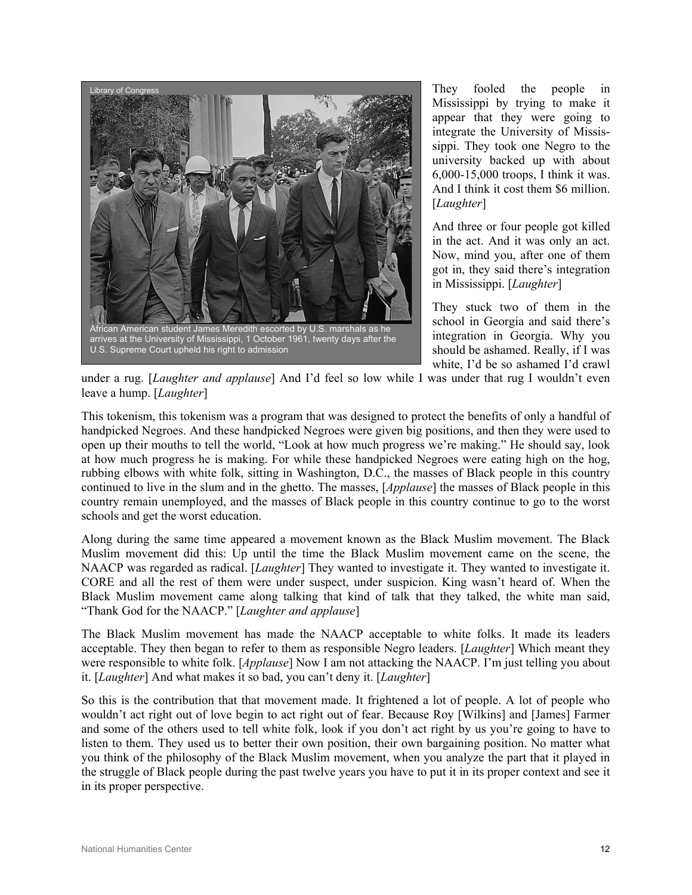

They fooled the people in Mississippi by trying to make it appear that they were going to integrate the University of Mississippi. They took one Negro to the university backed up with about 6,000-15,000 troops, I think it was. And I think it cost them \$6 million. [*Laughter*]

And three or four people got killed in the act. And it was only an act. Now, mind you, after one of them got in, they said there's integration in Mississippi. [*Laughter*]

They stuck two of them in the school in Georgia and said there's integration in Georgia. Why you should be ashamed. Really, if I was white, I'd be so ashamed I'd crawl

under a rug. [*Laughter and applause*] And I'd feel so low while I was under that rug I wouldn't even leave a hump. [*Laughter*]

This tokenism, this tokenism was a program that was designed to protect the benefits of only a handful of handpicked Negroes. And these handpicked Negroes were given big positions, and then they were used to open up their mouths to tell the world, "Look at how much progress we're making." He should say, look at how much progress he is making. For while these handpicked Negroes were eating high on the hog, rubbing elbows with white folk, sitting in Washington, D.C., the masses of Black people in this country continued to live in the slum and in the ghetto. The masses, [*Applause*] the masses of Black people in this country remain unemployed, and the masses of Black people in this country continue to go to the worst schools and get the worst education.

Along during the same time appeared a movement known as the Black Muslim movement. The Black Muslim movement did this: Up until the time the Black Muslim movement came on the scene, the NAACP was regarded as radical. [*Laughter*] They wanted to investigate it. They wanted to investigate it. CORE and all the rest of them were under suspect, under suspicion. King wasn't heard of. When the Black Muslim movement came along talking that kind of talk that they talked, the white man said, "Thank God for the NAACP." [*Laughter and applause*]

The Black Muslim movement has made the NAACP acceptable to white folks. It made its leaders acceptable. They then began to refer to them as responsible Negro leaders. [*Laughter*] Which meant they were responsible to white folk. [*Applause*] Now I am not attacking the NAACP. I'm just telling you about it. [*Laughter*] And what makes it so bad, you can't deny it. [*Laughter*]

So this is the contribution that that movement made. It frightened a lot of people. A lot of people who wouldn't act right out of love begin to act right out of fear. Because Roy [Wilkins] and [James] Farmer and some of the others used to tell white folk, look if you don't act right by us you're going to have to listen to them. They used us to better their own position, their own bargaining position. No matter what you think of the philosophy of the Black Muslim movement, when you analyze the part that it played in the struggle of Black people during the past twelve years you have to put it in its proper context and see it in its proper perspective.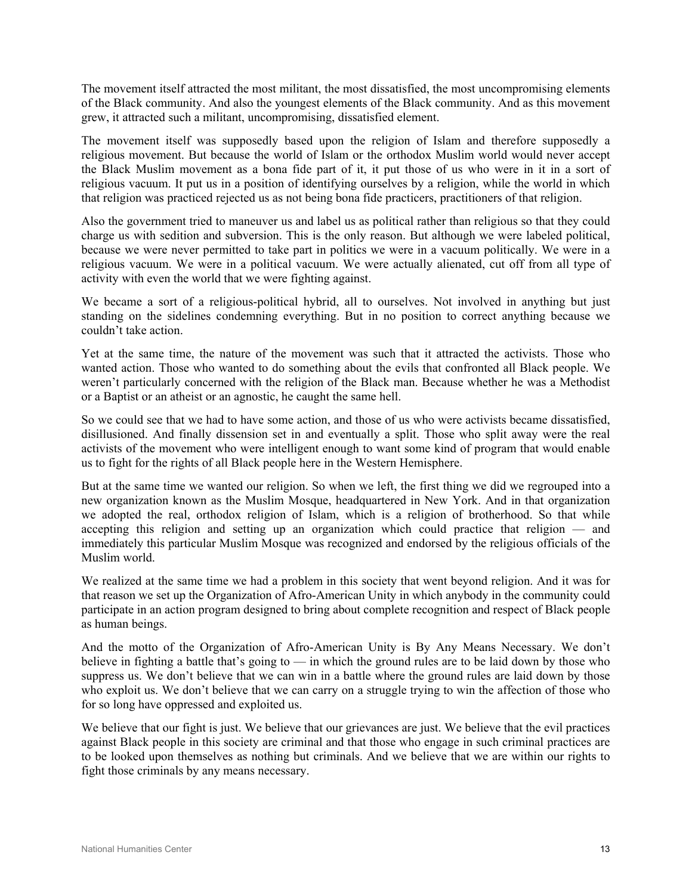The movement itself attracted the most militant, the most dissatisfied, the most uncompromising elements of the Black community. And also the youngest elements of the Black community. And as this movement grew, it attracted such a militant, uncompromising, dissatisfied element.

The movement itself was supposedly based upon the religion of Islam and therefore supposedly a religious movement. But because the world of Islam or the orthodox Muslim world would never accept the Black Muslim movement as a bona fide part of it, it put those of us who were in it in a sort of religious vacuum. It put us in a position of identifying ourselves by a religion, while the world in which that religion was practiced rejected us as not being bona fide practicers, practitioners of that religion.

Also the government tried to maneuver us and label us as political rather than religious so that they could charge us with sedition and subversion. This is the only reason. But although we were labeled political, because we were never permitted to take part in politics we were in a vacuum politically. We were in a religious vacuum. We were in a political vacuum. We were actually alienated, cut off from all type of activity with even the world that we were fighting against.

We became a sort of a religious-political hybrid, all to ourselves. Not involved in anything but just standing on the sidelines condemning everything. But in no position to correct anything because we couldn't take action.

Yet at the same time, the nature of the movement was such that it attracted the activists. Those who wanted action. Those who wanted to do something about the evils that confronted all Black people. We weren't particularly concerned with the religion of the Black man. Because whether he was a Methodist or a Baptist or an atheist or an agnostic, he caught the same hell.

So we could see that we had to have some action, and those of us who were activists became dissatisfied, disillusioned. And finally dissension set in and eventually a split. Those who split away were the real activists of the movement who were intelligent enough to want some kind of program that would enable us to fight for the rights of all Black people here in the Western Hemisphere.

But at the same time we wanted our religion. So when we left, the first thing we did we regrouped into a new organization known as the Muslim Mosque, headquartered in New York. And in that organization we adopted the real, orthodox religion of Islam, which is a religion of brotherhood. So that while accepting this religion and setting up an organization which could practice that religion — and immediately this particular Muslim Mosque was recognized and endorsed by the religious officials of the Muslim world.

We realized at the same time we had a problem in this society that went beyond religion. And it was for that reason we set up the Organization of Afro-American Unity in which anybody in the community could participate in an action program designed to bring about complete recognition and respect of Black people as human beings.

And the motto of the Organization of Afro-American Unity is By Any Means Necessary. We don't believe in fighting a battle that's going to — in which the ground rules are to be laid down by those who suppress us. We don't believe that we can win in a battle where the ground rules are laid down by those who exploit us. We don't believe that we can carry on a struggle trying to win the affection of those who for so long have oppressed and exploited us.

We believe that our fight is just. We believe that our grievances are just. We believe that the evil practices against Black people in this society are criminal and that those who engage in such criminal practices are to be looked upon themselves as nothing but criminals. And we believe that we are within our rights to fight those criminals by any means necessary.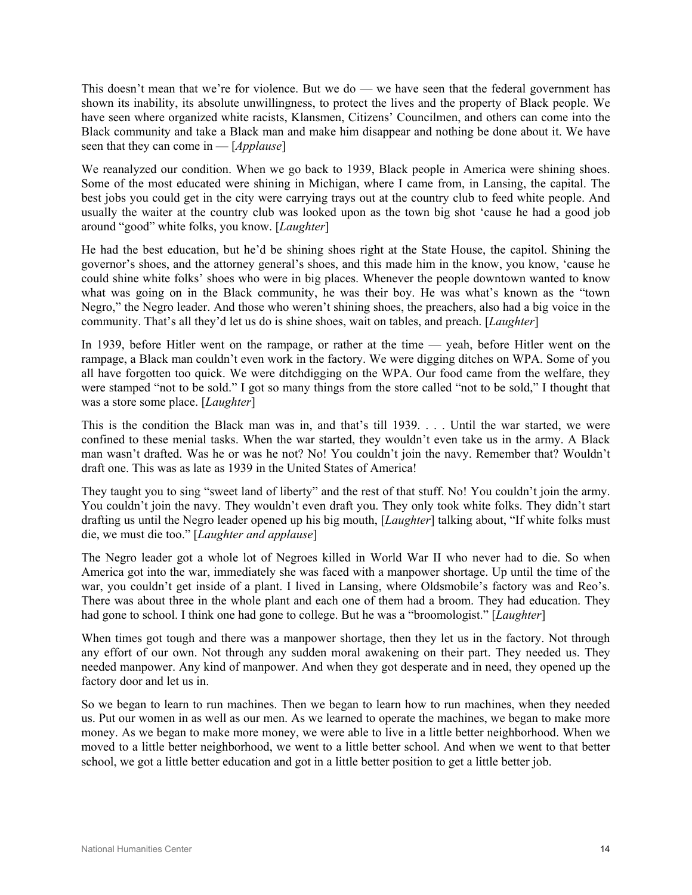This doesn't mean that we're for violence. But we do — we have seen that the federal government has shown its inability, its absolute unwillingness, to protect the lives and the property of Black people. We have seen where organized white racists, Klansmen, Citizens' Councilmen, and others can come into the Black community and take a Black man and make him disappear and nothing be done about it. We have seen that they can come in — [*Applause*]

We reanalyzed our condition. When we go back to 1939, Black people in America were shining shoes. Some of the most educated were shining in Michigan, where I came from, in Lansing, the capital. The best jobs you could get in the city were carrying trays out at the country club to feed white people. And usually the waiter at the country club was looked upon as the town big shot 'cause he had a good job around "good" white folks, you know. [*Laughter*]

He had the best education, but he'd be shining shoes right at the State House, the capitol. Shining the governor's shoes, and the attorney general's shoes, and this made him in the know, you know, 'cause he could shine white folks' shoes who were in big places. Whenever the people downtown wanted to know what was going on in the Black community, he was their boy. He was what's known as the "town Negro," the Negro leader. And those who weren't shining shoes, the preachers, also had a big voice in the community. That's all they'd let us do is shine shoes, wait on tables, and preach. [*Laughter*]

In 1939, before Hitler went on the rampage, or rather at the time — yeah, before Hitler went on the rampage, a Black man couldn't even work in the factory. We were digging ditches on WPA. Some of you all have forgotten too quick. We were ditchdigging on the WPA. Our food came from the welfare, they were stamped "not to be sold." I got so many things from the store called "not to be sold," I thought that was a store some place. [*Laughter*]

This is the condition the Black man was in, and that's till 1939. . . . Until the war started, we were confined to these menial tasks. When the war started, they wouldn't even take us in the army. A Black man wasn't drafted. Was he or was he not? No! You couldn't join the navy. Remember that? Wouldn't draft one. This was as late as 1939 in the United States of America!

They taught you to sing "sweet land of liberty" and the rest of that stuff. No! You couldn't join the army. You couldn't join the navy. They wouldn't even draft you. They only took white folks. They didn't start drafting us until the Negro leader opened up his big mouth, [*Laughter*] talking about, "If white folks must die, we must die too." [*Laughter and applause*]

The Negro leader got a whole lot of Negroes killed in World War II who never had to die. So when America got into the war, immediately she was faced with a manpower shortage. Up until the time of the war, you couldn't get inside of a plant. I lived in Lansing, where Oldsmobile's factory was and Reo's. There was about three in the whole plant and each one of them had a broom. They had education. They had gone to school. I think one had gone to college. But he was a "broomologist." [*Laughter*]

When times got tough and there was a manpower shortage, then they let us in the factory. Not through any effort of our own. Not through any sudden moral awakening on their part. They needed us. They needed manpower. Any kind of manpower. And when they got desperate and in need, they opened up the factory door and let us in.

So we began to learn to run machines. Then we began to learn how to run machines, when they needed us. Put our women in as well as our men. As we learned to operate the machines, we began to make more money. As we began to make more money, we were able to live in a little better neighborhood. When we moved to a little better neighborhood, we went to a little better school. And when we went to that better school, we got a little better education and got in a little better position to get a little better job.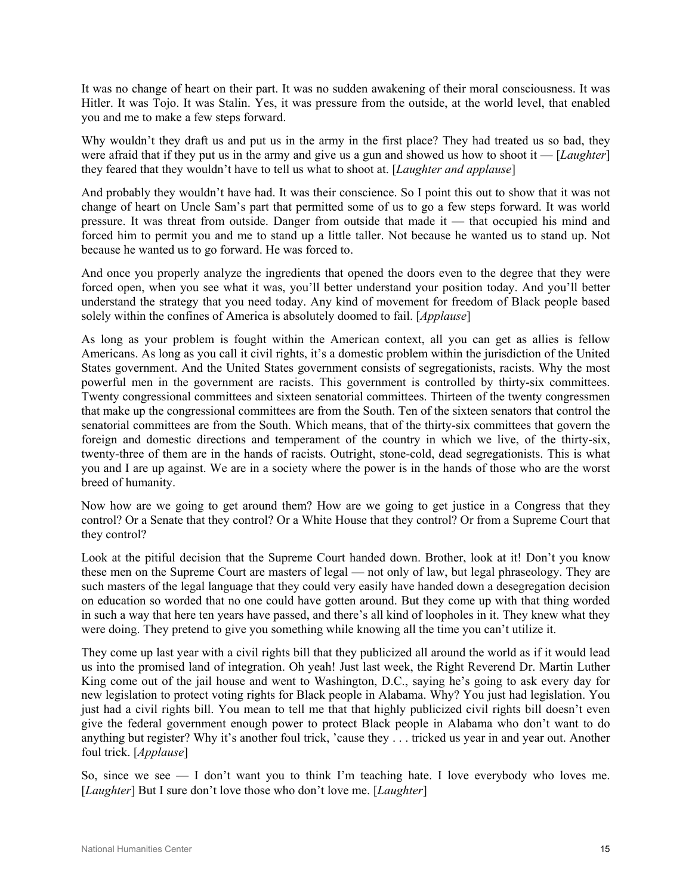It was no change of heart on their part. It was no sudden awakening of their moral consciousness. It was Hitler. It was Tojo. It was Stalin. Yes, it was pressure from the outside, at the world level, that enabled you and me to make a few steps forward.

Why wouldn't they draft us and put us in the army in the first place? They had treated us so bad, they were afraid that if they put us in the army and give us a gun and showed us how to shoot it — [*Laughter*] they feared that they wouldn't have to tell us what to shoot at. [*Laughter and applause*]

And probably they wouldn't have had. It was their conscience. So I point this out to show that it was not change of heart on Uncle Sam's part that permitted some of us to go a few steps forward. It was world pressure. It was threat from outside. Danger from outside that made it — that occupied his mind and forced him to permit you and me to stand up a little taller. Not because he wanted us to stand up. Not because he wanted us to go forward. He was forced to.

And once you properly analyze the ingredients that opened the doors even to the degree that they were forced open, when you see what it was, you'll better understand your position today. And you'll better understand the strategy that you need today. Any kind of movement for freedom of Black people based solely within the confines of America is absolutely doomed to fail. [*Applause*]

As long as your problem is fought within the American context, all you can get as allies is fellow Americans. As long as you call it civil rights, it's a domestic problem within the jurisdiction of the United States government. And the United States government consists of segregationists, racists. Why the most powerful men in the government are racists. This government is controlled by thirty-six committees. Twenty congressional committees and sixteen senatorial committees. Thirteen of the twenty congressmen that make up the congressional committees are from the South. Ten of the sixteen senators that control the senatorial committees are from the South. Which means, that of the thirty-six committees that govern the foreign and domestic directions and temperament of the country in which we live, of the thirty-six, twenty-three of them are in the hands of racists. Outright, stone-cold, dead segregationists. This is what you and I are up against. We are in a society where the power is in the hands of those who are the worst breed of humanity.

Now how are we going to get around them? How are we going to get justice in a Congress that they control? Or a Senate that they control? Or a White House that they control? Or from a Supreme Court that they control?

Look at the pitiful decision that the Supreme Court handed down. Brother, look at it! Don't you know these men on the Supreme Court are masters of legal — not only of law, but legal phraseology. They are such masters of the legal language that they could very easily have handed down a desegregation decision on education so worded that no one could have gotten around. But they come up with that thing worded in such a way that here ten years have passed, and there's all kind of loopholes in it. They knew what they were doing. They pretend to give you something while knowing all the time you can't utilize it.

They come up last year with a civil rights bill that they publicized all around the world as if it would lead us into the promised land of integration. Oh yeah! Just last week, the Right Reverend Dr. Martin Luther King come out of the jail house and went to Washington, D.C., saying he's going to ask every day for new legislation to protect voting rights for Black people in Alabama. Why? You just had legislation. You just had a civil rights bill. You mean to tell me that that highly publicized civil rights bill doesn't even give the federal government enough power to protect Black people in Alabama who don't want to do anything but register? Why it's another foul trick, 'cause they . . . tricked us year in and year out. Another foul trick. [*Applause*]

So, since we see — I don't want you to think I'm teaching hate. I love everybody who loves me. [*Laughter*] But I sure don't love those who don't love me. [*Laughter*]